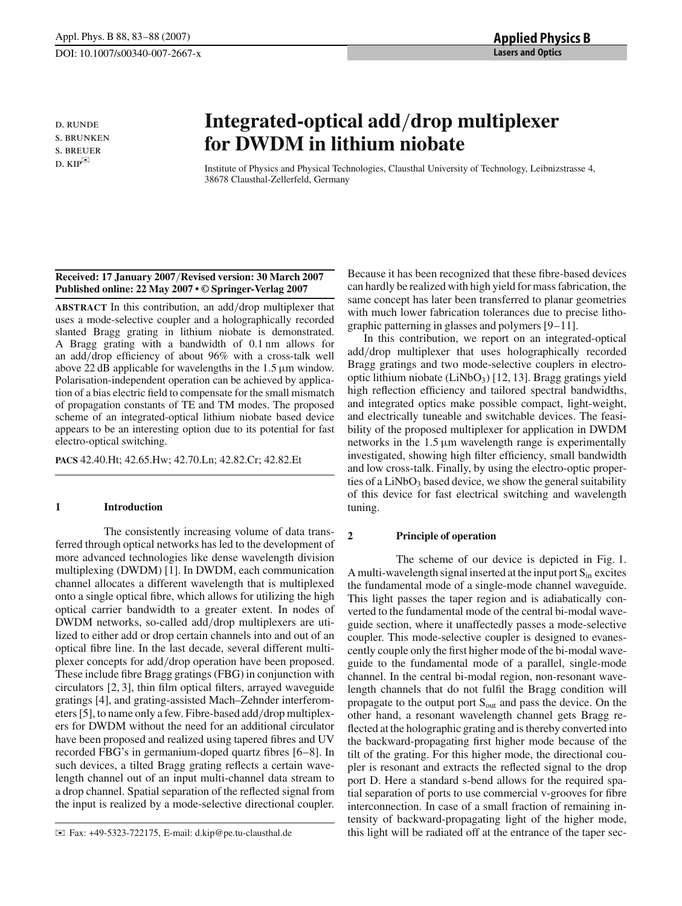d. runde s. brunken s. breuer  $D. KIP^{\square\!\!\!\!\!\triangle}$ 

# **Integrated-optical add**/**drop multiplexer for DWDM in lithium niobate**

Institute of Physics and Physical Technologies, Clausthal University of Technology, Leibnizstrasse 4, 38678 Clausthal-Zellerfeld, Germany

# **Received: 17 January 2007**/**Revised version: 30 March 2007 Published online: 22 May 2007 • © Springer-Verlag 2007**

**ABSTRACT** In this contribution, an add/drop multiplexer that uses a mode-selective coupler and a holographically recorded slanted Bragg grating in lithium niobate is demonstrated. A Bragg grating with a bandwidth of 0.1 nm allows for an add/drop efficiency of about 96% with a cross-talk well above 22 dB applicable for wavelengths in the  $1.5 \mu m$  window. Polarisation-independent operation can be achieved by application of a bias electric field to compensate for the small mismatch of propagation constants of TE and TM modes. The proposed scheme of an integrated-optical lithium niobate based device appears to be an interesting option due to its potential for fast electro-optical switching.

**PACS** 42.40.Ht; 42.65.Hw; 42.70.Ln; 42.82.Cr; 42.82.Et

# **1 Introduction**

The consistently increasing volume of data transferred through optical networks has led to the development of more advanced technologies like dense wavelength division multiplexing (DWDM) [1]. In DWDM, each communication channel allocates a different wavelength that is multiplexed onto a single optical fibre, which allows for utilizing the high optical carrier bandwidth to a greater extent. In nodes of DWDM networks, so-called add/drop multiplexers are utilized to either add or drop certain channels into and out of an optical fibre line. In the last decade, several different multiplexer concepts for add/drop operation have been proposed. These include fibre Bragg gratings (FBG) in conjunction with circulators [2, 3], thin film optical filters, arrayed waveguide gratings [4], and grating-assisted Mach–Zehnder interferometers [5], to name only a few. Fibre-based add/drop multiplexers for DWDM without the need for an additional circulator have been proposed and realized using tapered fibres and UV recorded FBG's in germanium-doped quartz fibres [6–8]. In such devices, a tilted Bragg grating reflects a certain wavelength channel out of an input multi-channel data stream to a drop channel. Spatial separation of the reflected signal from the input is realized by a mode-selective directional coupler.

Because it has been recognized that these fibre-based devices can hardly be realized with high yield for mass fabrication, the same concept has later been transferred to planar geometries with much lower fabrication tolerances due to precise lithographic patterning in glasses and polymers [9–11].

In this contribution, we report on an integrated-optical add/drop multiplexer that uses holographically recorded Bragg gratings and two mode-selective couplers in electrooptic lithium niobate  $(LiNbO<sub>3</sub>)$  [12, 13]. Bragg gratings yield high reflection efficiency and tailored spectral bandwidths, and integrated optics make possible compact, light-weight, and electrically tuneable and switchable devices. The feasibility of the proposed multiplexer for application in DWDM networks in the  $1.5 \mu m$  wavelength range is experimentally investigated, showing high filter efficiency, small bandwidth and low cross-talk. Finally, by using the electro-optic properties of a LiNbO<sub>3</sub> based device, we show the general suitability of this device for fast electrical switching and wavelength tuning.

# **2 Principle of operation**

The scheme of our device is depicted in Fig. 1. A multi-wavelength signal inserted at the input port  $S_{in}$  excites the fundamental mode of a single-mode channel waveguide. This light passes the taper region and is adiabatically converted to the fundamental mode of the central bi-modal waveguide section, where it unaffectedly passes a mode-selective coupler. This mode-selective coupler is designed to evanescently couple only the first higher mode of the bi-modal waveguide to the fundamental mode of a parallel, single-mode channel. In the central bi-modal region, non-resonant wavelength channels that do not fulfil the Bragg condition will propagate to the output port  $S_{out}$  and pass the device. On the other hand, a resonant wavelength channel gets Bragg reflected at the holographic grating and is thereby converted into the backward-propagating first higher mode because of the tilt of the grating. For this higher mode, the directional coupler is resonant and extracts the reflected signal to the drop port D. Here a standard s-bend allows for the required spatial separation of ports to use commercial v-grooves for fibre interconnection. In case of a small fraction of remaining intensity of backward-propagating light of the higher mode, this light will be radiated off at the entrance of the taper sec-

 $\boxtimes$  Fax: +49-5323-722175, E-mail: d.kip@pe.tu-clausthal.de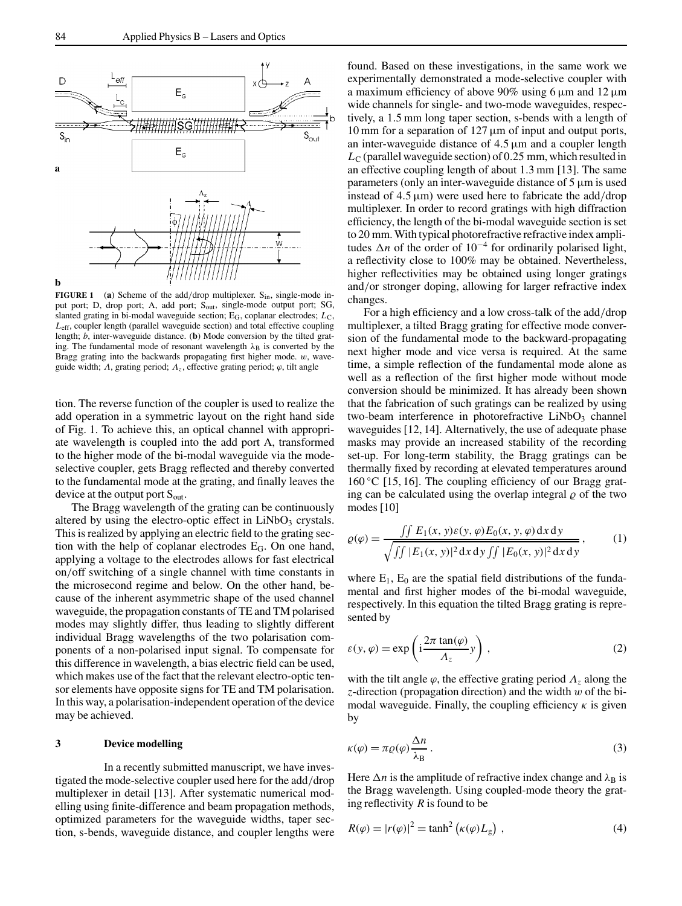**FIGURE 1** (a) Scheme of the add/drop multiplexer.  $S_{in}$ , single-mode input port; D, drop port; A, add port; S<sub>out</sub>, single-mode output port; SG, slanted grating in bi-modal waveguide section; E<sub>G</sub>, coplanar electrodes; L<sub>C</sub>, *L*eff, coupler length (parallel waveguide section) and total effective coupling length; *b*, inter-waveguide distance. (**b**) Mode conversion by the tilted grating. The fundamental mode of resonant wavelength  $\lambda_B$  is converted by the Bragg grating into the backwards propagating first higher mode. w, waveguide width;  $\Lambda$ , grating period;  $\Lambda$ <sub>z</sub>, effective grating period;  $\varphi$ , tilt angle

tion. The reverse function of the coupler is used to realize the add operation in a symmetric layout on the right hand side of Fig. 1. To achieve this, an optical channel with appropriate wavelength is coupled into the add port A, transformed to the higher mode of the bi-modal waveguide via the modeselective coupler, gets Bragg reflected and thereby converted to the fundamental mode at the grating, and finally leaves the device at the output port  $S_{\text{out}}$ .

The Bragg wavelength of the grating can be continuously altered by using the electro-optic effect in  $LiNbO<sub>3</sub>$  crystals. This is realized by applying an electric field to the grating section with the help of coplanar electrodes EG. On one hand, applying a voltage to the electrodes allows for fast electrical on/off switching of a single channel with time constants in the microsecond regime and below. On the other hand, because of the inherent asymmetric shape of the used channel waveguide, the propagation constants of TE and TM polarised modes may slightly differ, thus leading to slightly different individual Bragg wavelengths of the two polarisation components of a non-polarised input signal. To compensate for this difference in wavelength, a bias electric field can be used, which makes use of the fact that the relevant electro-optic tensor elements have opposite signs for TE and TM polarisation. In this way, a polarisation-independent operation of the device may be achieved.

## **3 Device modelling**

In a recently submitted manuscript, we have investigated the mode-selective coupler used here for the add/drop multiplexer in detail [13]. After systematic numerical modelling using finite-difference and beam propagation methods, optimized parameters for the waveguide widths, taper section, s-bends, waveguide distance, and coupler lengths were

found. Based on these investigations, in the same work we experimentally demonstrated a mode-selective coupler with a maximum efficiency of above 90% using 6  $\mu$ m and 12  $\mu$ m wide channels for single- and two-mode waveguides, respectively, a 1.5 mm long taper section, s-bends with a length of 10 mm for a separation of  $127 \mu m$  of input and output ports, an inter-waveguide distance of  $4.5 \mu m$  and a coupler length  $L_{\rm C}$  (parallel waveguide section) of 0.25 mm, which resulted in an effective coupling length of about 1.3 mm [13]. The same parameters (only an inter-waveguide distance of 5 µm is used instead of 4.5  $\mu$ m) were used here to fabricate the add/drop multiplexer. In order to record gratings with high diffraction efficiency, the length of the bi-modal waveguide section is set to 20 mm. With typical photorefractive refractive index amplitudes ∆*n* of the order of 10−<sup>4</sup> for ordinarily polarised light, a reflectivity close to 100% may be obtained. Nevertheless, higher reflectivities may be obtained using longer gratings and/or stronger doping, allowing for larger refractive index changes.

For a high efficiency and a low cross-talk of the add/drop multiplexer, a tilted Bragg grating for effective mode conversion of the fundamental mode to the backward-propagating next higher mode and vice versa is required. At the same time, a simple reflection of the fundamental mode alone as well as a reflection of the first higher mode without mode conversion should be minimized. It has already been shown that the fabrication of such gratings can be realized by using two-beam interference in photorefractive  $LiNbO<sub>3</sub>$  channel waveguides [12, 14]. Alternatively, the use of adequate phase masks may provide an increased stability of the recording set-up. For long-term stability, the Bragg gratings can be thermally fixed by recording at elevated temperatures around  $160^{\circ}$ C [15, 16]. The coupling efficiency of our Bragg grating can be calculated using the overlap integral  $\rho$  of the two modes [10]

$$
\varrho(\varphi) = \frac{\iint E_1(x, y)\varepsilon(y, \varphi)E_0(x, y, \varphi) dx dy}{\sqrt{\iint |E_1(x, y)|^2 dx dy \iint |E_0(x, y)|^2 dx dy}},
$$
(1)

where  $E_1$ ,  $E_0$  are the spatial field distributions of the fundamental and first higher modes of the bi-modal waveguide, respectively. In this equation the tilted Bragg grating is represented by

$$
\varepsilon(y,\varphi) = \exp\left(i\frac{2\pi \tan(\varphi)}{\Lambda_z}y\right),\tag{2}
$$

with the tilt angle  $\varphi$ , the effective grating period  $\Lambda$ <sub>z</sub> along the *z*-direction (propagation direction) and the width w of the bimodal waveguide. Finally, the coupling efficiency  $\kappa$  is given by

$$
\kappa(\varphi) = \pi \varrho(\varphi) \frac{\Delta n}{\lambda_B} \,. \tag{3}
$$

Here  $\Delta n$  is the amplitude of refractive index change and  $\lambda_B$  is the Bragg wavelength. Using coupled-mode theory the grating reflectivity *R* is found to be

$$
R(\varphi) = |r(\varphi)|^2 = \tanh^2(\kappa(\varphi)L_g) \tag{4}
$$

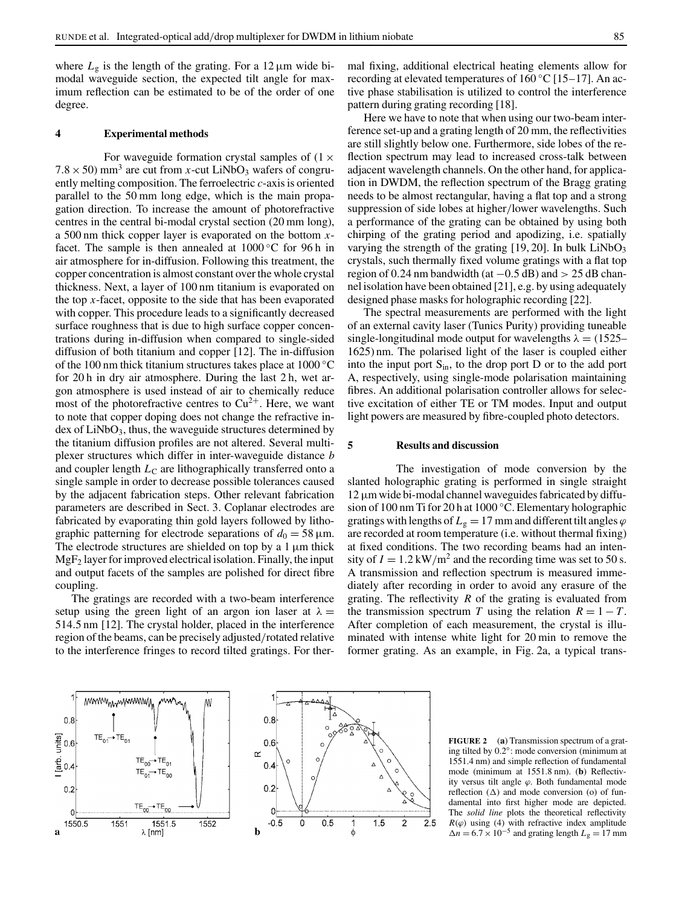where  $L_g$  is the length of the grating. For a 12  $\mu$ m wide bimodal waveguide section, the expected tilt angle for maximum reflection can be estimated to be of the order of one degree.

# **4 Experimental methods**

For waveguide formation crystal samples of  $(1 \times$  $7.8 \times 50$ ) mm<sup>3</sup> are cut from *x*-cut LiNbO<sub>3</sub> wafers of congruently melting composition. The ferroelectric *c*-axis is oriented parallel to the 50 mm long edge, which is the main propagation direction. To increase the amount of photorefractive centres in the central bi-modal crystal section (20 mm long), a 500 nm thick copper layer is evaporated on the bottom *x*facet. The sample is then annealed at  $1000\,^{\circ}\text{C}$  for 96 h in air atmosphere for in-diffusion. Following this treatment, the copper concentration is almost constant over the whole crystal thickness. Next, a layer of 100 nm titanium is evaporated on the top *x*-facet, opposite to the side that has been evaporated with copper. This procedure leads to a significantly decreased surface roughness that is due to high surface copper concentrations during in-diffusion when compared to single-sided diffusion of both titanium and copper [12]. The in-diffusion of the 100 nm thick titanium structures takes place at 1000 ◦C for 20 h in dry air atmosphere. During the last 2 h, wet argon atmosphere is used instead of air to chemically reduce most of the photorefractive centres to  $Cu^{2+}$ . Here, we want to note that copper doping does not change the refractive index of LiNbO<sub>3</sub>, thus, the waveguide structures determined by the titanium diffusion profiles are not altered. Several multiplexer structures which differ in inter-waveguide distance *b* and coupler length *L*<sub>C</sub> are lithographically transferred onto a single sample in order to decrease possible tolerances caused by the adjacent fabrication steps. Other relevant fabrication parameters are described in Sect. 3. Coplanar electrodes are fabricated by evaporating thin gold layers followed by lithographic patterning for electrode separations of  $d_0 = 58 \,\mu \text{m}$ . The electrode structures are shielded on top by a  $1 \mu m$  thick  $MgF<sub>2</sub>$  layer for improved electrical isolation. Finally, the input and output facets of the samples are polished for direct fibre coupling.

The gratings are recorded with a two-beam interference setup using the green light of an argon ion laser at  $\lambda =$ 514.5 nm [12]. The crystal holder, placed in the interference region of the beams, can be precisely adjusted/rotated relative to the interference fringes to record tilted gratings. For thermal fixing, additional electrical heating elements allow for recording at elevated temperatures of  $160^{\circ}$ C [15–17]. An active phase stabilisation is utilized to control the interference pattern during grating recording [18].

Here we have to note that when using our two-beam interference set-up and a grating length of 20 mm, the reflectivities are still slightly below one. Furthermore, side lobes of the reflection spectrum may lead to increased cross-talk between adjacent wavelength channels. On the other hand, for application in DWDM, the reflection spectrum of the Bragg grating needs to be almost rectangular, having a flat top and a strong suppression of side lobes at higher/lower wavelengths. Such a performance of the grating can be obtained by using both chirping of the grating period and apodizing, i.e. spatially varying the strength of the grating  $[19, 20]$ . In bulk LiNbO<sub>3</sub> crystals, such thermally fixed volume gratings with a flat top region of 0.24 nm bandwidth (at  $-0.5$  dB) and  $> 25$  dB channel isolation have been obtained [21], e.g. by using adequately designed phase masks for holographic recording [22].

The spectral measurements are performed with the light of an external cavity laser (Tunics Purity) providing tuneable single-longitudinal mode output for wavelengths  $\lambda = (1525 -$ 1625) nm. The polarised light of the laser is coupled either into the input port  $S_{in}$ , to the drop port D or to the add port A, respectively, using single-mode polarisation maintaining fibres. An additional polarisation controller allows for selective excitation of either TE or TM modes. Input and output light powers are measured by fibre-coupled photo detectors.

# **5 Results and discussion**

The investigation of mode conversion by the slanted holographic grating is performed in single straight  $12 \mu m$  wide bi-modal channel waveguides fabricated by diffusion of 100 nm Ti for 20 h at 1000 ◦C. Elementary holographic gratings with lengths of  $L_g = 17$  mm and different tilt angles  $\varphi$ are recorded at room temperature (i.e. without thermal fixing) at fixed conditions. The two recording beams had an intensity of  $I = 1.2 \text{ kW/m}^2$  and the recording time was set to 50 s. A transmission and reflection spectrum is measured immediately after recording in order to avoid any erasure of the grating. The reflectivity *R* of the grating is evaluated from the transmission spectrum *T* using the relation  $R = 1 - T$ . After completion of each measurement, the crystal is illuminated with intense white light for 20 min to remove the former grating. As an example, in Fig. 2a, a typical trans-





**FIGURE 2** (**a**) Transmission spectrum of a grating tilted by 0.2◦: mode conversion (minimum at 1551.4 nm) and simple reflection of fundamental mode (minimum at 1551.8 nm). (**b**) Reflectivity versus tilt angle  $\varphi$ . Both fundamental mode reflection (∆) and mode conversion (o) of fundamental into first higher mode are depicted. The *solid line* plots the theoretical reflectivity  $R(\varphi)$  using (4) with refractive index amplitude  $\Delta n = 6.7 \times 10^{-5}$  and grating length  $L_g = 17$  mm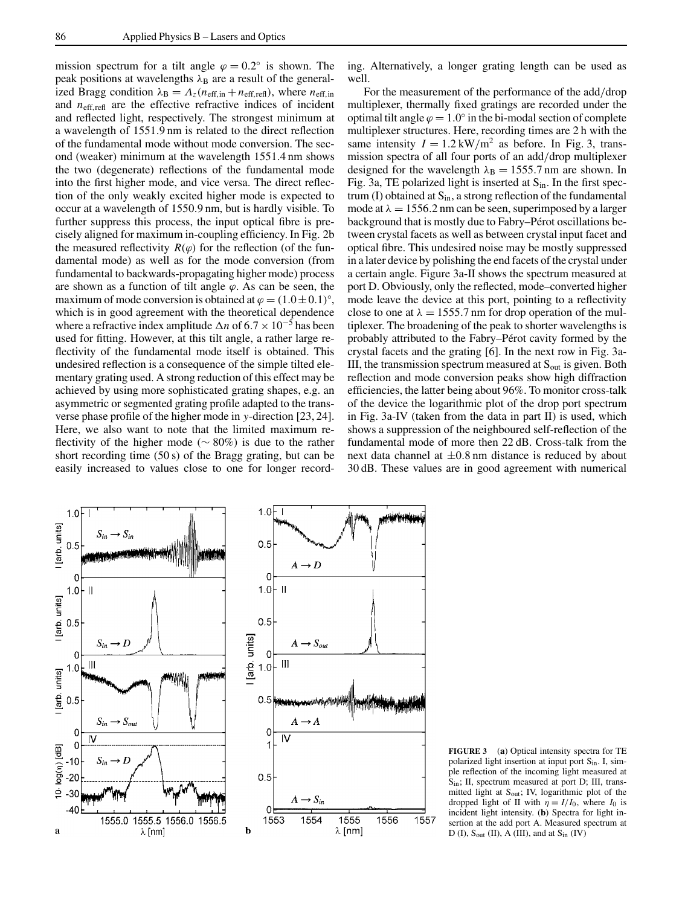mission spectrum for a tilt angle  $\varphi = 0.2^\circ$  is shown. The peak positions at wavelengths  $\lambda_B$  are a result of the generalized Bragg condition  $\lambda_B = \Lambda_z(n_{\text{eff,in}} + n_{\text{eff,refl}})$ , where  $n_{\text{eff,in}}$ and  $n_{\text{eff.refl}}$  are the effective refractive indices of incident and reflected light, respectively. The strongest minimum at a wavelength of 1551.9 nm is related to the direct reflection of the fundamental mode without mode conversion. The second (weaker) minimum at the wavelength 1551.4 nm shows the two (degenerate) reflections of the fundamental mode into the first higher mode, and vice versa. The direct reflection of the only weakly excited higher mode is expected to occur at a wavelength of 1550.9 nm, but is hardly visible. To further suppress this process, the input optical fibre is precisely aligned for maximum in-coupling efficiency. In Fig. 2b the measured reflectivity  $R(\varphi)$  for the reflection (of the fundamental mode) as well as for the mode conversion (from fundamental to backwards-propagating higher mode) process are shown as a function of tilt angle  $\varphi$ . As can be seen, the maximum of mode conversion is obtained at  $\varphi = (1.0 \pm 0.1)^\circ$ , which is in good agreement with the theoretical dependence where a refractive index amplitude  $\Delta n$  of 6.7 × 10<sup>-5</sup> has been used for fitting. However, at this tilt angle, a rather large reflectivity of the fundamental mode itself is obtained. This undesired reflection is a consequence of the simple tilted elementary grating used. A strong reduction of this effect may be achieved by using more sophisticated grating shapes, e.g. an asymmetric or segmented grating profile adapted to the transverse phase profile of the higher mode in *y*-direction [23, 24]. Here, we also want to note that the limited maximum reflectivity of the higher mode (∼ 80%) is due to the rather short recording time (50 s) of the Bragg grating, but can be easily increased to values close to one for longer recording. Alternatively, a longer grating length can be used as well.

For the measurement of the performance of the add/drop multiplexer, thermally fixed gratings are recorded under the optimal tilt angle  $\varphi = 1.0^\circ$  in the bi-modal section of complete multiplexer structures. Here, recording times are 2 h with the same intensity  $I = 1.2 \text{ kW/m}^2$  as before. In Fig. 3, transmission spectra of all four ports of an add/drop multiplexer designed for the wavelength  $\lambda_B = 1555.7$  nm are shown. In Fig. 3a, TE polarized light is inserted at  $S_{in}$ . In the first spectrum (I) obtained at  $S_{in}$ , a strong reflection of the fundamental mode at  $\lambda = 1556.2$  nm can be seen, superimposed by a larger background that is mostly due to Fabry–Pérot oscillations between crystal facets as well as between crystal input facet and optical fibre. This undesired noise may be mostly suppressed in a later device by polishing the end facets of the crystal under a certain angle. Figure 3a-II shows the spectrum measured at port D. Obviously, only the reflected, mode–converted higher mode leave the device at this port, pointing to a reflectivity close to one at  $\lambda = 1555.7$  nm for drop operation of the multiplexer. The broadening of the peak to shorter wavelengths is probably attributed to the Fabry–Pérot cavity formed by the crystal facets and the grating [6]. In the next row in Fig. 3a-III, the transmission spectrum measured at  $S_{out}$  is given. Both reflection and mode conversion peaks show high diffraction efficiencies, the latter being about 96%. To monitor cross-talk of the device the logarithmic plot of the drop port spectrum in Fig. 3a-IV (taken from the data in part II) is used, which shows a suppression of the neighboured self-reflection of the fundamental mode of more then 22 dB. Cross-talk from the next data channel at  $\pm 0.8$  nm distance is reduced by about 30 dB. These values are in good agreement with numerical



**FIGURE 3** (**a**) Optical intensity spectra for TE polarized light insertion at input port Sin. I, simple reflection of the incoming light measured at Sin; II, spectrum measured at port D; III, transmitted light at S<sub>out</sub>; IV, logarithmic plot of the dropped light of II with  $\eta = I/I_0$ , where  $I_0$  is incident light intensity. (**b**) Spectra for light insertion at the add port A. Measured spectrum at D (I),  $S_{\text{out}}$  (II), A (III), and at  $S_{\text{in}}$  (IV)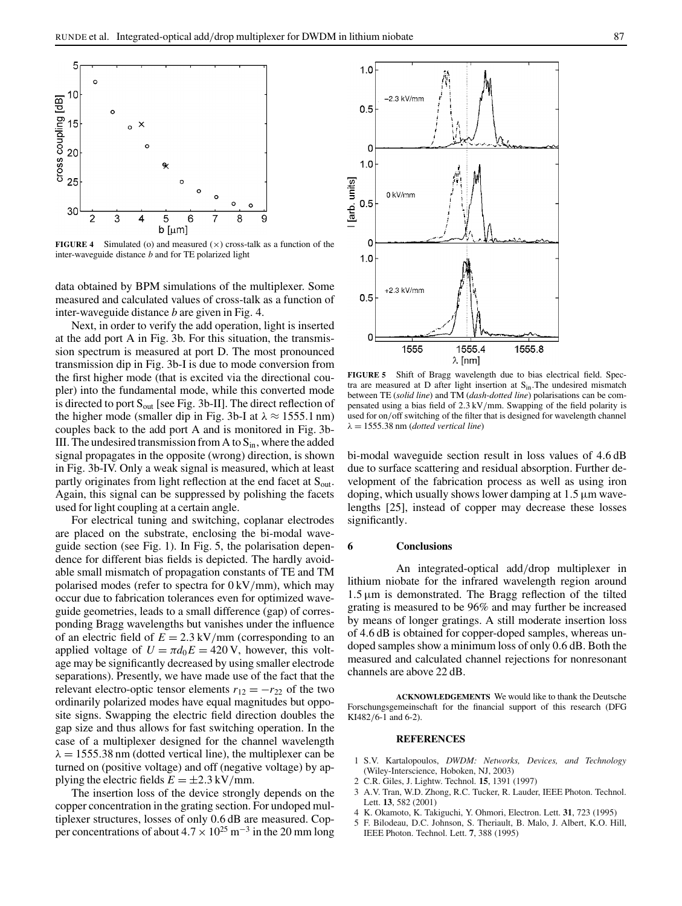

**FIGURE 4** Simulated (o) and measured  $(x)$  cross-talk as a function of the inter-waveguide distance *b* and for TE polarized light

data obtained by BPM simulations of the multiplexer. Some measured and calculated values of cross-talk as a function of inter-waveguide distance *b* are given in Fig. 4.

Next, in order to verify the add operation, light is inserted at the add port A in Fig. 3b. For this situation, the transmission spectrum is measured at port D. The most pronounced transmission dip in Fig. 3b-I is due to mode conversion from the first higher mode (that is excited via the directional coupler) into the fundamental mode, while this converted mode is directed to port  $S_{out}$  [see Fig. 3b-II]. The direct reflection of the higher mode (smaller dip in Fig. 3b-I at  $\lambda \approx 1555.1$  nm) couples back to the add port A and is monitored in Fig. 3b-III. The undesired transmission from A to  $S_{in}$ , where the added signal propagates in the opposite (wrong) direction, is shown in Fig. 3b-IV. Only a weak signal is measured, which at least partly originates from light reflection at the end facet at  $S_{\text{out}}$ . Again, this signal can be suppressed by polishing the facets used for light coupling at a certain angle.

For electrical tuning and switching, coplanar electrodes are placed on the substrate, enclosing the bi-modal waveguide section (see Fig. 1). In Fig. 5, the polarisation dependence for different bias fields is depicted. The hardly avoidable small mismatch of propagation constants of TE and TM polarised modes (refer to spectra for  $0 \frac{kV}{mm}$ ), which may occur due to fabrication tolerances even for optimized waveguide geometries, leads to a small difference (gap) of corresponding Bragg wavelengths but vanishes under the influence of an electric field of  $E = 2.3 \text{ kV/mm}$  (corresponding to an applied voltage of  $U = \pi d_0 E = 420 \text{ V}$ , however, this voltage may be significantly decreased by using smaller electrode separations). Presently, we have made use of the fact that the relevant electro-optic tensor elements  $r_{12} = -r_{22}$  of the two ordinarily polarized modes have equal magnitudes but opposite signs. Swapping the electric field direction doubles the gap size and thus allows for fast switching operation. In the case of a multiplexer designed for the channel wavelength  $\lambda = 1555.38$  nm (dotted vertical line), the multiplexer can be turned on (positive voltage) and off (negative voltage) by applying the electric fields  $E = \pm 2.3 \text{ kV/mm}$ .

The insertion loss of the device strongly depends on the copper concentration in the grating section. For undoped multiplexer structures, losses of only 0.6 dB are measured. Copper concentrations of about  $4.7 \times 10^{25}$  m<sup>-3</sup> in the 20 mm long



**FIGURE 5** Shift of Bragg wavelength due to bias electrical field. Spectra are measured at D after light insertion at  $S_{in}$ . The undesired mismatch between TE (*solid line*) and TM (*dash-dotted line*) polarisations can be compensated using a bias field of 2.3 kV/mm. Swapping of the field polarity is used for on/off switching of the filter that is designed for wavelength channel  $\lambda = 1555.38$  nm (*dotted vertical line*)

bi-modal waveguide section result in loss values of 4.6 dB due to surface scattering and residual absorption. Further development of the fabrication process as well as using iron doping, which usually shows lower damping at  $1.5 \mu m$  wavelengths [25], instead of copper may decrease these losses significantly.

### **6 Conclusions**

An integrated-optical add/drop multiplexer in lithium niobate for the infrared wavelength region around  $1.5 \mu m$  is demonstrated. The Bragg reflection of the tilted grating is measured to be 96% and may further be increased by means of longer gratings. A still moderate insertion loss of 4.6 dB is obtained for copper-doped samples, whereas undoped samples show a minimum loss of only 0.6 dB. Both the measured and calculated channel rejections for nonresonant channels are above 22 dB.

**ACKNOWLEDGEMENTS** We would like to thank the Deutsche Forschungsgemeinschaft for the financial support of this research (DFG KI482/6-1 and 6-2).

### **REFERENCES**

- 1 S.V. Kartalopoulos, *DWDM: Networks, Devices, and Technology* (Wiley-Interscience, Hoboken, NJ, 2003)
- 2 C.R. Giles, J. Lightw. Technol. **15**, 1391 (1997)
- 3 A.V. Tran, W.D. Zhong, R.C. Tucker, R. Lauder, IEEE Photon. Technol. Lett. **13**, 582 (2001)
- 4 K. Okamoto, K. Takiguchi, Y. Ohmori, Electron. Lett. **31**, 723 (1995)
- 5 F. Bilodeau, D.C. Johnson, S. Theriault, B. Malo, J. Albert, K.O. Hill, IEEE Photon. Technol. Lett. **7**, 388 (1995)